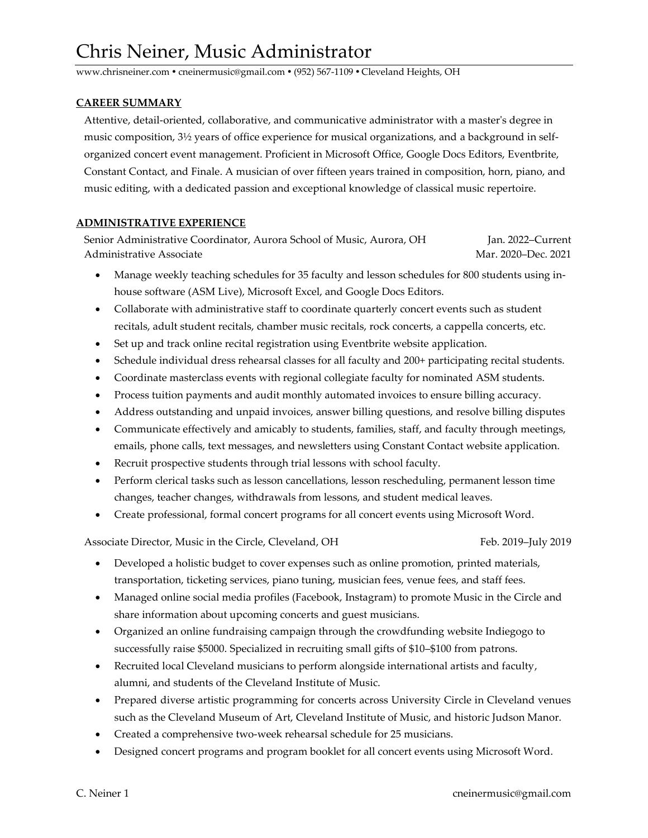# Chris Neiner, Music Administrator

www.chrisneiner.com ● cneinermusic@gmail.com ● (952) 567-1109 ● Cleveland Heights, OH

### **CAREER SUMMARY**

 Attentive, detail-oriented, collaborative, and communicative administrator with a master's degree in music composition, 3½ years of office experience for musical organizations, and a background in self organized concert event management. Proficient in Microsoft Office, Google Docs Editors, Eventbrite, Constant Contact, and Finale. A musician of over fifteen years trained in composition, horn, piano, and music editing, with a dedicated passion and exceptional knowledge of classical music repertoire.

## **ADMINISTRATIVE EXPERIENCE**

Senior Administrative Coordinator, Aurora School of Music, Aurora, OH Jan. 2022–Current Administrative Associate Andrew Mar. 2020–Dec. 2021

- Manage weekly teaching schedules for 35 faculty and lesson schedules for 800 students using inhouse software (ASM Live), Microsoft Excel, and Google Docs Editors.
- Collaborate with administrative staff to coordinate quarterly concert events such as student recitals, adult student recitals, chamber music recitals, rock concerts, a cappella concerts, etc.
- Set up and track online recital registration using Eventbrite website application.
- Schedule individual dress rehearsal classes for all faculty and 200+ participating recital students.
- Coordinate masterclass events with regional collegiate faculty for nominated ASM students.
- Process tuition payments and audit monthly automated invoices to ensure billing accuracy.
- Address outstanding and unpaid invoices, answer billing questions, and resolve billing disputes
- Communicate effectively and amicably to students, families, staff, and faculty through meetings, emails, phone calls, text messages, and newsletters using Constant Contact website application.
- Recruit prospective students through trial lessons with school faculty.
- Perform clerical tasks such as lesson cancellations, lesson rescheduling, permanent lesson time changes, teacher changes, withdrawals from lessons, and student medical leaves.
- Create professional, formal concert programs for all concert events using Microsoft Word.

Associate Director, Music in the Circle, Cleveland, OH Feb. 2019–July 2019

- Developed a holistic budget to cover expenses such as online promotion, printed materials, transportation, ticketing services, piano tuning, musician fees, venue fees, and staff fees.
- Managed online social media profiles (Facebook, Instagram) to promote Music in the Circle and share information about upcoming concerts and guest musicians.
- Organized an online fundraising campaign through the crowdfunding website Indiegogo to successfully raise \$5000. Specialized in recruiting small gifts of \$10–\$100 from patrons.
- Recruited local Cleveland musicians to perform alongside international artists and faculty, alumni, and students of the Cleveland Institute of Music.
- Prepared diverse artistic programming for concerts across University Circle in Cleveland venues such as the Cleveland Museum of Art, Cleveland Institute of Music, and historic Judson Manor.
- Created a comprehensive two-week rehearsal schedule for 25 musicians.
- Designed concert programs and program booklet for all concert events using Microsoft Word.